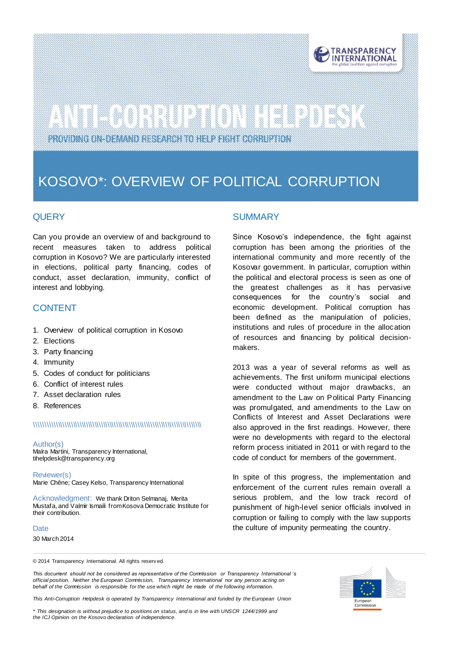

# 

PROVIDING ON DEMAND RESEARCH TO HELP FIGHT CORRUPTION

### KOSOVO\*: OVERVIEW OF POLITICAL CORRUPTION

#### **QUERY**

Can you provide an overview of and background to recent measures taken to address political corruption in Kosovo? We are particularly interested in elections, political party financing, codes of conduct, asset declaration, immunity, conflict of interest and lobbying.

#### CONTENT

- 1. Overview of political corruption in Kosovo
- 2. Elections
- 3. Party financing
- 4. Immunity
- 5. Codes of conduct for politicians
- 6. Conflict of interest rules
- 7. Asset declaration rules
- 8. References

#### \\\\\\\\\\\\\\\\\\\\\\\\\\\\\\\\\\\\\\\\\\\\\\\\\\\\\\\\\\\\\\\\\\\\\\\\\\\\\\

Author(s) Maíra Martini, Transparency International, tihelpdesk@transparency.org

Reviewer(s) Marie Chêne; Casey Kelso, Transparency International

Acknowledgment: We thank Driton Selmanaj, Merita Mustafa, and Valmir Ismaili from Kosova Democratic Institute for their contribution.

#### **Date**

30 March 2014

#### SUMMARY

Since Kosovo's independence, the fight against corruption has been among the priorities of the international community and more recently of the Kosovar government. In particular, corruption within the political and electoral process is seen as one of the greatest challenges as it has pervasive consequences for the country's social and economic development. Political corruption has been defined as the manipulation of policies, institutions and rules of procedure in the allocation of resources and financing by political decisionmakers.

2013 was a year of several reforms as well as achievements. The first uniform municipal elections were conducted without major drawbacks, an amendment to the Law on Political Party Financing was promulgated, and amendments to the Law on Conflicts of Interest and Asset Declarations were also approved in the first readings. However, there were no developments with regard to the electoral reform process initiated in 2011 or with regard to the code of conduct for members of the government.

In spite of this progress, the implementation and enforcement of the current rules remain overall a serious problem, and the low track record of punishment of high-level senior officials involved in corruption or failing to comply with the law supports the culture of impunity permeating the country.

© 2014 Transparency International. All rights reserv ed.

*This document should not be considered as representative of the Commission or Transparency International 's official position. Neither the European Commission, Transparency International nor any person acting on behalf of the Commission is responsible for the use which might be made of the following information.* 

*This Anti-Corruption Helpdesk is operated by Transparency International and funded by the European Union*

*\* This designation is without prejudice to positions on status, and is in line with UNSCR 1244/1999 and the ICJ Opinion on the Kosovo declaration of independence.*

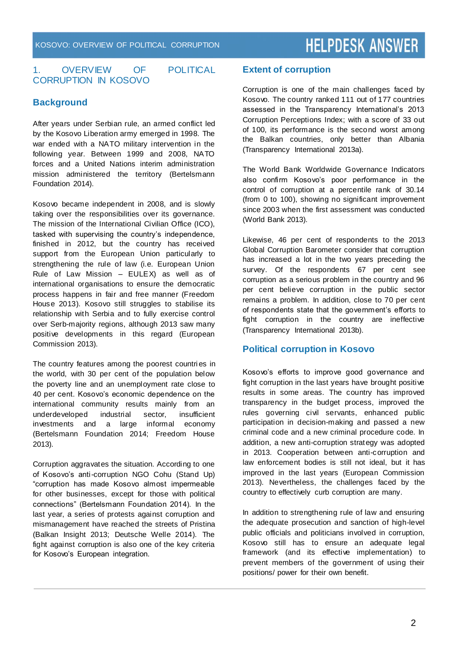#### 1. OVERVIEW OF POLITICAL CORRUPTION IN KOSOVO

#### **Background**

After years under Serbian rule, an armed conflict led by the Kosovo Liberation army emerged in 1998. The war ended with a NATO military intervention in the following year. Between 1999 and 2008, NATO forces and a United Nations interim administration mission administered the territory (Bertelsmann Foundation 2014).

Kosovo became independent in 2008, and is slowly taking over the responsibilities over its governance. The mission of the International Civilian Office (ICO), tasked with supervising the country's independence, finished in 2012, but the country has received support from the European Union particularly to strengthening the rule of law (i.e. European Union Rule of Law Mission – EULEX) as well as of international organisations to ensure the democratic process happens in fair and free manner (Freedom House 2013). Kosovo still struggles to stabilise its relationship with Serbia and to fully exercise control over Serb-majority regions, although 2013 saw many positive developments in this regard (European Commission 2013).

The country features among the poorest countri es in the world, with 30 per cent of the population below the poverty line and an unemployment rate close to 40 per cent. Kosovo's economic dependence on the international community results mainly from an underdeveloped industrial sector, insufficient investments and a large informal economy (Bertelsmann Foundation 2014; Freedom House 2013).

Corruption aggravates the situation. According to one of Kosovo's anti-corruption NGO Cohu (Stand Up) "corruption has made Kosovo almost impermeable for other businesses, except for those with political connections" (Bertelsmann Foundation 2014). In the last year, a series of protests against corruption and mismanagement have reached the streets of Pristina (Balkan Insight 2013; Deutsche Welle 2014). The fight against corruption is also one of the key criteria for Kosovo's European integration.

#### **Extent of corruption**

Corruption is one of the main challenges faced by Kosovo. The country ranked 111 out of 177 countries assessed in the Transparency International's 2013 Corruption Perceptions Index; with a score of 33 out of 100, its performance is the second worst among the Balkan countries, only better than Albania (Transparency International 2013a).

The World Bank Worldwide Governance Indicators also confirm Kosovo's poor performance in the control of corruption at a percentile rank of 30.14 (from 0 to 100), showing no significant improvement since 2003 when the first assessment was conducted (World Bank 2013).

Likewise, 46 per cent of respondents to the 2013 Global Corruption Barometer consider that corruption has increased a lot in the two years preceding the survey. Of the respondents 67 per cent see corruption as a serious problem in the country and 96 per cent believe corruption in the public sector remains a problem. In addition, close to 70 per cent of respondents state that the government's efforts to fight corruption in the country are ineffective (Transparency International 2013b).

#### **Political corruption in Kosovo**

Kosovo's efforts to improve good governance and fight corruption in the last years have brought positive results in some areas. The country has improved transparency in the budget process, improved the rules governing civil servants, enhanced public participation in decision-making and passed a new criminal code and a new criminal procedure code. In addition, a new anti-corruption strategy was adopted in 2013. Cooperation between anti-corruption and law enforcement bodies is still not ideal, but it has improved in the last years (European Commission 2013). Nevertheless, the challenges faced by the country to effectively curb corruption are many.

In addition to strengthening rule of law and ensuring the adequate prosecution and sanction of high-level public officials and politicians involved in corruption, Kosovo still has to ensure an adequate legal framework (and its effective implementation) to prevent members of the government of using their positions/ power for their own benefit.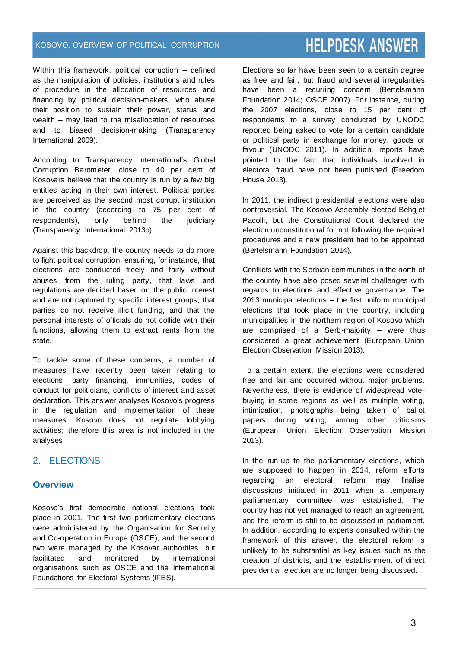#### KOSOVO: OVERVIEW OF POLITICAL CORRUPTION

### **HELPDESK ANSWER**

Within this framework, political corruption – defined as the manipulation of policies, institutions and rules of procedure in the allocation of resources and financing by political decision-makers, who abuse their position to sustain their power, status and wealth – may lead to the misallocation of resources and to biased decision-making (Transparency International 2009).

According to Transparency International's Global Corruption Barometer, close to 40 per cent of Kosovars believe that the country is run by a few big entities acting in their own interest. Political parties are perceived as the second most corrupt institution in the country (according to 75 per cent of respondents), only behind the judiciary (Transparency International 2013b).

Against this backdrop, the country needs to do more to fight political corruption, ensuring, for instance, that elections are conducted freely and fairly without abuses from the ruling party, that laws and regulations are decided based on the public interest and are not captured by specific interest groups, that parties do not receive illicit funding, and that the personal interests of officials do not collide with their functions, allowing them to extract rents from the state.

To tackle some of these concerns, a number of measures have recently been taken relating to elections, party financing, immunities, codes of conduct for politicians, conflicts of interest and asset declaration. This answer analyses Kosovo's progress in the regulation and implementation of these measures. Kosovo does not regulate lobbying activities; therefore this area is not included in the analyses.

#### 2. ELECTIONS

#### **Overview**

Kosovo's first democratic national elections took place in 2001. The first two parliamentary elections were administered by the Organisation [for Security](http://www.osce.org/)  [and Co-operation in Europe](http://www.osce.org/) (OSCE), and the second two were managed by the Kosovar authorities, but facilitated and monitored by international organisations such as OSCE and the International Foundations for Electoral Systems (IFES).

Elections so far have been seen to a certain degree as free and fair, but fraud and several irregularities have been a recurring concern (Bertelsmann Foundation 2014; OSCE 2007). For instance, during the 2007 elections, close to 15 per cent of respondents to a survey conducted by UNODC reported being asked to vote for a certain candidate or political party in exchange for money, goods or favour (UNODC 2011). In addition, reports have pointed to the fact that individuals involved in electoral fraud have not been punished (Freedom House 2013).

In 2011, the indirect presidential elections were also controversial. The Kosovo Assembly elected Behgjet Pacolli, but the Constitutional Court declared the election unconstitutional for not following the required procedures and a new president had to be appointed (Bertelsmann Foundation 2014).

Conflicts with the Serbian communities in the north of the country have also posed several challenges with regards to elections and effective governance. The 2013 municipal elections – the first uniform municipal elections that took place in the country, including municipalities in the northern region of Kosovo which are comprised of a Serb-majority – were thus considered a great achievement (European Union Election Observation Mission 2013).

To a certain extent, the elections were considered free and fair and occurred without major problems. Nevertheless, there is evidence of widespread votebuying in some regions as well as multiple voting, intimidation, photographs being taken of ballot papers during voting, among other criticisms (European Union Election Observation Mission 2013).

In the run-up to the parliamentary elections, which are supposed to happen in 2014, reform efforts regarding an electoral reform may finalise discussions initiated in 2011 when a temporary parliamentary committee was established. The country has not yet managed to reach an agreement, and the reform is still to be discussed in parliament. In addition, according to experts consulted within the framework of this answer, the electoral reform is unlikely to be substantial as key issues such as the creation of districts, and the establishment of direct presidential election are no longer being discussed.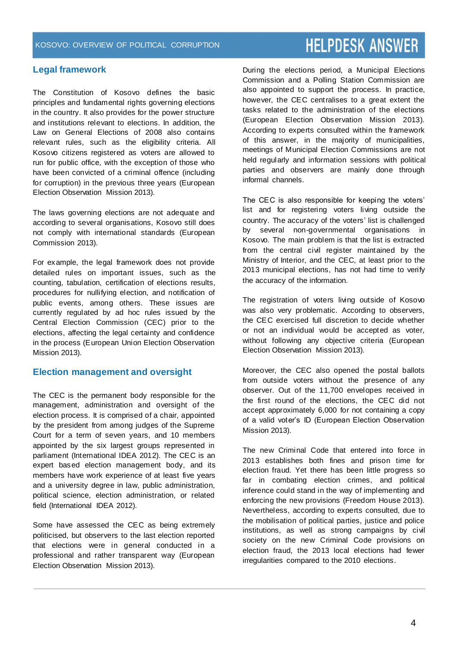#### **Legal framework**

The Constitution of Kosovo defines the basic principles and fundamental rights governing elections in the country. It also provides for the power structure and institutions relevant to elections. In addition, the Law on General Elections of 2008 also contains relevant rules, such as the eligibility criteria. All Kosovo citizens registered as voters are allowed to run for public office, with the exception of those who have been convicted of a criminal offence (including for corruption) in the previous three years (European Election Observation Mission 2013).

The laws governing elections are not adequate and according to several organisations, Kosovo still does not comply with international standards (European Commission 2013).

For example, the legal framework does not provide detailed rules on important issues, such as the counting, tabulation, certification of elections results, procedures for nullifying election, and notification of public events, among others. These issues are currently regulated by ad hoc rules issued by the Central Election Commission (CEC) prior to the elections, affecting the legal certainty and confidence in the process (European Union Election Observation Mission 2013).

#### **Election management and oversight**

The CEC is the permanent body responsible for the management, administration and oversight of the election process. It is comprised of a chair, appointed by the president from among judges of the Supreme Court for a term of seven years, and 10 members appointed by the six largest groups represented in parliament (International IDEA 2012). The CEC is an expert based election management body, and its members have work experience of at least five years and a university degree in law, public administration, political science, election administration, or related field (International IDEA 2012).

Some have assessed the CEC as being extremely politicised, but observers to the last election reported that elections were in general conducted in a professional and rather transparent way (European Election Observation Mission 2013).

During the elections period, a Municipal Elections Commission and a Polling Station Commission are also appointed to support the process. In practice, however, the CEC centralises to a great extent the tasks related to the administration of the elections (European Election Observation Mission 2013). According to experts consulted within the framework of this answer, in the majority of municipalities, meetings of Municipal Election Commissions are not held regularly and information sessions with political parties and observers are mainly done through informal channels.

The CEC is also responsible for keeping the voters' list and for registering voters living outside the country. The accuracy of the voters' list is challenged by several non-governmental organisations in Kosovo. The main problem is that the list is extracted from the central civil register maintained by the Ministry of Interior, and the CEC, at least prior to the 2013 municipal elections, has not had time to verify the accuracy of the information.

The registration of voters living outside of Kosovo was also very problematic. According to observers, the CEC exercised full discretion to decide whether or not an individual would be accepted as voter, without following any objective criteria (European Election Observation Mission 2013).

Moreover, the CEC also opened the postal ballots from outside voters without the presence of any observer. Out of the 11,700 envelopes received in the first round of the elections, the CEC did not accept approximately 6,000 for not containing a copy of a valid voter's ID (European Election Observation Mission 2013).

The new Criminal Code that entered into force in 2013 establishes both fines and prison time for election fraud. Yet there has been little progress so far in combating election crimes, and political inference could stand in the way of implementing and enforcing the new provisions (Freedom House 2013). Nevertheless, according to experts consulted, due to the mobilisation of political parties, justice and police institutions, as well as strong campaigns by civil society on the new Criminal Code provisions on election fraud, the 2013 local elections had fewer irregularities compared to the 2010 elections.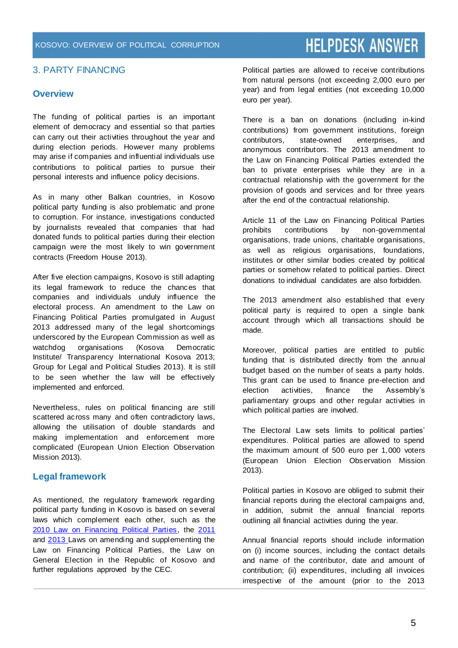#### 3. PARTY FINANCING

#### **Overview**

The funding of political parties is an important element of democracy and essential so that parties can carry out their activities throughout the year and during election periods. However many problems may arise if companies and influential individuals use contributions to political parties to pursue their personal interests and influence policy decisions.

As in many other Balkan countries, in Kosovo political party funding is also problematic and prone to corruption. For instance, investigations conducted by journalists revealed that companies that had donated funds to political parties during their election campaign were the most likely to win government contracts (Freedom House 2013).

After five election campaigns, Kosovo is still adapting its legal framework to reduce the chances that companies and individuals unduly influence the electoral process. An amendment to the Law on Financing Political Parties promulgated in August 2013 addressed many of the legal shortcomings underscored by the European Commission as well as watchdog organisations (Kosova Democratic Institute/ Transparency International Kosova 2013; Group for Legal and Political Studies 2013). It is still to be seen whether the law will be effectively implemented and enforced.

Nevertheless, rules on political financing are still scattered across many and often contradictory laws, allowing the utilisation of double standards and making implementation and enforcement more complicated (European Union Election Observation Mission 2013).

#### **Legal framework**

As mentioned, the regulatory framework regarding political party funding in Kosovo is based on several laws which complement each other, such as the [2010 Law on Financing Political Parties,](http://www.kuvendikosoves.org/?cid=2,191,543) the [2011](http://www.kuvendikosoves.org/?cid=2,191,1058) and [2013](http://www.kuvendikosoves.org/?cid=2,191,1048) Laws on amending and supplementing the Law on Financing Political Parties, the Law on General Election in the Republic of Kosovo and further regulations approved by the CEC.

Political parties are allowed to receive contributions from natural persons (not exceeding 2,000 euro per year) and from legal entities (not exceeding 10,000 euro per year).

There is a ban on donations (including in-kind contributions) from government institutions, foreign contributors, state-owned enterprises, and anonymous contributors. The 2013 amendment to the Law on Financing Political Parties extended the ban to private enterprises while they are in a contractual relationship with the government for the provision of goods and services and for three years after the end of the contractual relationship.

Article 11 of the Law on Financing Political Parties prohibits contributions by non-governmental organisations, trade unions, charitable organisations, as well as religious organisations, foundations, institutes or other similar bodies created by political parties or somehow related to political parties. Direct donations to individual candidates are also forbidden.

The 2013 amendment also established that every political party is required to open a single bank account through which all transactions should be made.

Moreover, political parties are entitled to public funding that is distributed directly from the annual budget based on the number of seats a party holds. This grant can be used to finance pre-election and election activities, finance the Assembly's parliamentary groups and other regular activities in which political parties are involved.

The Electoral Law sets limits to political parties' expenditures. Political parties are allowed to spend the maximum amount of 500 euro per 1,000 voters (European Union Election Observation Mission 2013).

Political parties in Kosovo are obliged to submit their financial reports during the electoral campaigns and, in addition, submit the annual financial reports outlining all financial activities during the year.

Annual financial reports should include information on (i) income sources, including the contact details and name of the contributor, date and amount of contribution; (ii) expenditures, including all invoices irrespective of the amount (prior to the 2013

### **HELPDESK ANSWER**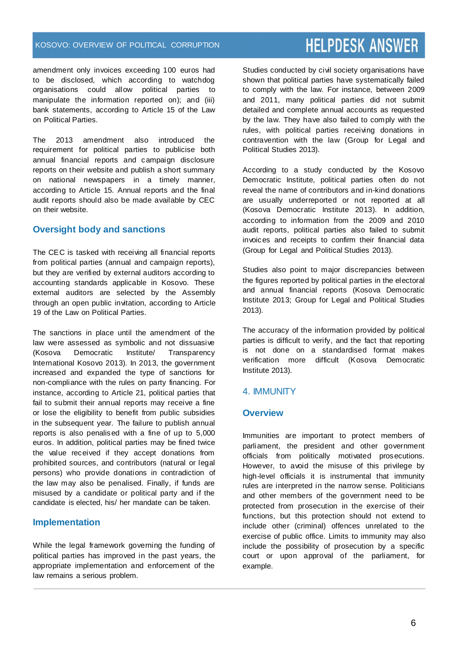amendment only invoices exceeding 100 euros had to be disclosed, which according to watchdog organisations could allow political parties to manipulate the information reported on); and (iii) bank statements, according to Article 15 of the Law on Political Parties.

The 2013 amendment also introduced the requirement for political parties to publicise both annual financial reports and campaign disclosure reports on their website and publish a short summary on national newspapers in a timely manner, according to Article 15. Annual reports and the final audit reports should also be made available by CEC on their website.

#### **Oversight body and sanctions**

The CEC is tasked with receiving all financial reports from political parties (annual and campaign reports), but they are verified by external auditors according to accounting standards applicable in Kosovo. These external auditors are selected by the Assembly through an open public invitation, according to Article 19 of the Law on Political Parties.

The sanctions in place until the amendment of the law were assessed as symbolic and not dissuasive (Kosova Democratic Institute/ Transparency International Kosovo 2013). In 2013, the government increased and expanded the type of sanctions for non-compliance with the rules on party financing. For instance, according to Article 21, political parties that fail to submit their annual reports may receive a fine or lose the eligibility to benefit from public subsidies in the subsequent year. The failure to publish annual reports is also penalised with a fine of up to 5,000 euros. In addition, political parties may be fined twice the value received if they accept donations from prohibited sources, and contributors (natural or legal persons) who provide donations in contradiction of the law may also be penalised. Finally, if funds are misused by a candidate or political party and if the candidate is elected, his/ her mandate can be taken.

#### **Implementation**

While the legal framework governing the funding of political parties has improved in the past years, the appropriate implementation and enforcement of the law remains a serious problem.

Studies conducted by civil society organisations have shown that political parties have systematically failed to comply with the law. For instance, between 2009 and 2011, many political parties did not submit detailed and complete annual accounts as requested by the law. They have also failed to comply with the rules, with political parties receiving donations in contravention with the law (Group for Legal and Political Studies 2013).

According to a study conducted by the Kosovo Democratic Institute, political parties often do not reveal the name of contributors and in-kind donations are usually underreported or not reported at all (Kosova Democratic Institute 2013). In addition, according to information from the 2009 and 2010 audit reports, political parties also failed to submit invoices and receipts to confirm their financial data (Group for Legal and Political Studies 2013).

Studies also point to major discrepancies between the figures reported by political parties in the electoral and annual financial reports (Kosova Democratic Institute 2013; Group for Legal and Political Studies 2013).

The accuracy of the information provided by political parties is difficult to verify, and the fact that reporting is not done on a standardised format makes verification more difficult (Kosova Democratic Institute 2013).

#### 4. IMMUNITY

#### **Overview**

Immunities are important to protect members of parliament, the president and other government officials from politically motivated prosecutions. However, to avoid the misuse of this privilege by high-level officials it is instrumental that immunity rules are interpreted in the narrow sense. Politicians and other members of the government need to be protected from prosecution in the exercise of their functions, but this protection should not extend to include other (criminal) offences unrelated to the exercise of public office. Limits to immunity may also include the possibility of prosecution by a specific court or upon approval of the parliament, for example.

### **HELPDESK ANSWER**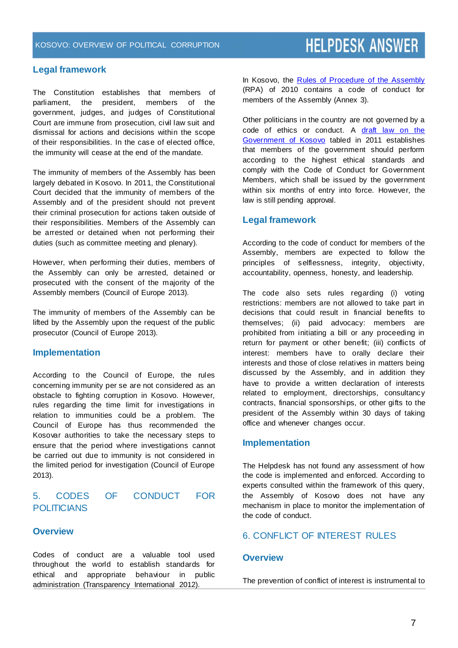#### **Legal framework**

The Constitution establishes that members of parliament, the president, members of the government, judges, and judges of Constitutional Court are immune from prosecution, civil law suit and dismissal for actions and decisions within the scope of their responsibilities. In the case of elected office, the immunity will cease at the end of the mandate.

The immunity of members of the Assembly has been largely debated in Kosovo. In 2011, the Constitutional Court decided that the immunity of members of the Assembly and of the president should not prevent their criminal prosecution for actions taken outside of their responsibilities. Members of the Assembly can be arrested or detained when not performing their duties (such as committee meeting and plenary).

However, when performing their duties, members of the Assembly can only be arrested, detained or prosecuted with the consent of the majority of the Assembly members (Council of Europe 2013).

The immunity of members of the Assembly can be lifted by the Assembly upon the request of the public prosecutor (Council of Europe 2013).

#### **Implementation**

According to the Council of Europe, the rules concerning immunity per se are not considered as an obstacle to fighting corruption in Kosovo. However, rules regarding the time limit for investigations in relation to immunities could be a problem. The Council of Europe has thus recommended the Kosovar authorities to take the necessary steps to ensure that the period where investigations cannot be carried out due to immunity is not considered in the limited period for investigation (Council of Europe 2013).

#### 5. CODES OF CONDUCT FOR **POLITICIANS**

#### **Overview**

Codes of conduct are a valuable tool used throughout the world to establish standards for ethical and appropriate behaviour in public administration (Transparency International 2012).

In Kosovo, the [Rules of Procedure of the Assembly](http://assembly-kosova.org/common/docs/T-_Rregullorja_Kosoves-29%20prill%202010-anglisht.pdf) (RPA) of 2010 contains a code of conduct for members of the Assembly (Annex 3).

Other politicians in the country are not governed by a code of ethics or conduct. A draft law on the [Government of Kosovo](http://www.kuvendikosoves.org/common/docs/ligjet/Draft%20law%20on%20government%20of%20Kosovo.pdf) tabled in 2011 establishes that members of the government should perform according to the highest ethical standards and comply with the Code of Conduct for Government Members, which shall be issued by the government within six months of entry into force. However, the law is still pending approval.

#### **Legal framework**

According to the code of conduct for members of the Assembly, members are expected to follow the principles of selflessness, integrity, objectivity, accountability, openness, honesty, and leadership.

The code also sets rules regarding (i) voting restrictions: members are not allowed to take part in decisions that could result in financial benefits to themselves; (ii) paid advocacy: members are prohibited from initiating a bill or any proceeding in return for payment or other benefit; (iii) conflicts of interest: members have to orally declare their interests and those of close relatives in matters being discussed by the Assembly, and in addition they have to provide a written declaration of interests related to employment, directorships, consultancy contracts, financial sponsorships, or other gifts to the president of the Assembly within 30 days of taking office and whenever changes occur.

#### **Implementation**

The Helpdesk has not found any assessment of how the code is implemented and enforced. According to experts consulted within the framework of this query, the Assembly of Kosovo does not have any mechanism in place to monitor the implementation of the code of conduct.

#### 6. CONFLICT OF INTEREST RULES

#### **Overview**

The prevention of conflict of interest is instrumental to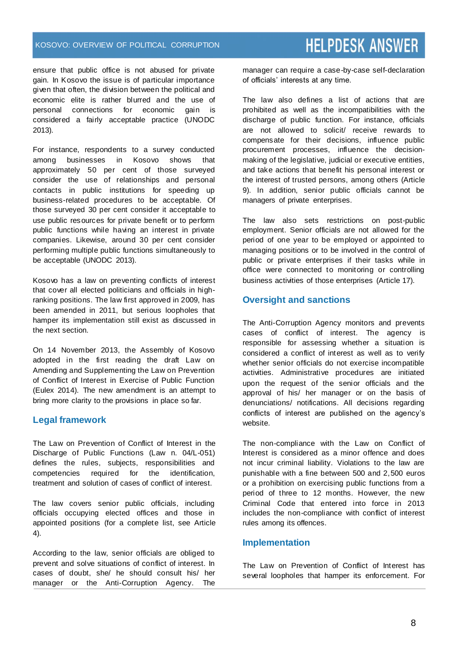ensure that public office is not abused for private gain. In Kosovo the issue is of particular importance given that often, the division between the political and economic elite is rather blurred and the use of personal connections for economic gain is considered a fairly acceptable practice (UNODC 2013).

For instance, respondents to a survey conducted among businesses in Kosovo shows that approximately 50 per cent of those surveyed consider the use of relationships and personal contacts in public institutions for speeding up business-related procedures to be acceptable. Of those surveyed 30 per cent consider it acceptable to use public resources for private benefit or to perform public functions while having an interest in private companies. Likewise, around 30 per cent consider performing multiple public functions simultaneously to be acceptable (UNODC 2013).

Kosovo has a law on preventing conflicts of interest that cover all elected politicians and officials in highranking positions. The law first approved in 2009, has been amended in 2011, but serious loopholes that hamper its implementation still exist as discussed in the next section.

On 14 November 2013, the Assembly of Kosovo adopted in the first reading the draft Law on Amending and Supplementing the Law on Prevention of Conflict of Interest in Exercise of Public Function (Eulex 2014). The new amendment is an attempt to bring more clarity to the provisions in place so far.

#### **Legal framework**

The Law on Prevention of Conflict of Interest in the Discharge of Public Functions (Law n. 04/L-051) defines the rules, subjects, responsibilities and competencies required for the identification, treatment and solution of cases of conflict of interest.

The law covers senior public officials, including officials occupying elected offices and those in appointed positions (for a complete list, see Article 4).

According to the law, senior officials are obliged to prevent and solve situations of conflict of interest. In cases of doubt, she/ he should consult his/ her manager or the Anti-Corruption Agency. The

manager can require a case-by-case self-declaration of officials' interests at any time.

The law also defines a list of actions that are prohibited as well as the incompatibilities with the discharge of public function. For instance, officials are not allowed to solicit/ receive rewards to compensate for their decisions, influence public procurement processes, influence the decisionmaking of the legislative, judicial or executive entities, and take actions that benefit his personal interest or the interest of trusted persons, among others (Article 9). In addition, senior public officials cannot be managers of private enterprises.

The law also sets restrictions on post-public employment. Senior officials are not allowed for the period of one year to be employed or appointed to managing positions or to be involved in the control of public or private enterprises if their tasks while in office were connected to monitoring or controlling business activities of those enterprises (Article 17).

#### **Oversight and sanctions**

The Anti-Corruption Agency monitors and prevents cases of conflict of interest. The agency is responsible for assessing whether a situation is considered a conflict of interest as well as to verify whether senior officials do not exercise incompatible activities. Administrative procedures are initiated upon the request of the senior officials and the approval of his/ her manager or on the basis of denunciations/ notifications. All decisions regarding conflicts of interest are published on the agency's website.

The non-compliance with the Law on Conflict of Interest is considered as a minor offence and does not incur criminal liability. Violations to the law are punishable with a fine between 500 and 2,500 euros or a prohibition on exercising public functions from a period of three to 12 months. However, the new Criminal Code that entered into force in 2013 includes the non-compliance with conflict of interest rules among its offences.

#### **Implementation**

The Law on Prevention of Conflict of Interest has several loopholes that hamper its enforcement. For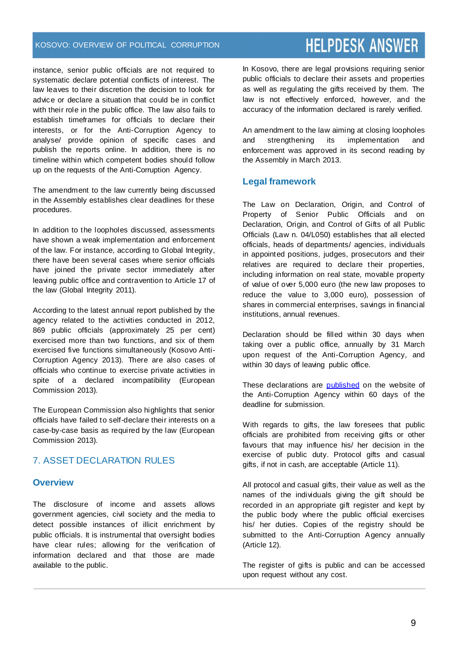#### KOSOVO: OVERVIEW OF POLITICAL CORRUPTION

instance, senior public officials are not required to systematic declare potential conflicts of interest. The law leaves to their discretion the decision to look for advice or declare a situation that could be in conflict with their role in the public office. The law also fails to establish timeframes for officials to declare their interests, or for the Anti-Corruption Agency to analyse/ provide opinion of specific cases and publish the reports online. In addition, there is no timeline within which competent bodies should follow up on the requests of the Anti-Corruption Agency.

The amendment to the law currently being discussed in the Assembly establishes clear deadlines for these procedures.

In addition to the loopholes discussed, assessments have shown a weak implementation and enforcement of the law. For instance, according to Global Integrity, there have been several cases where senior officials have joined the private sector immediately after leaving public office and contravention to Article 17 of the law (Global Integrity 2011).

According to the latest annual report published by the agency related to the activities conducted in 2012, 869 public officials (approximately 25 per cent) exercised more than two functions, and six of them exercised five functions simultaneously (Kosovo Anti-Corruption Agency 2013). There are also cases of officials who continue to exercise private activities in spite of a declared incompatibility (European Commission 2013).

The European Commission also highlights that senior officials have failed to self-declare their interests on a case-by-case basis as required by the law (European Commission 2013).

#### 7. ASSET DECLARATION RULES

#### **Overview**

The disclosure of income and assets allows government agencies, civil society and the media to detect possible instances of illicit enrichment by public officials. It is instrumental that oversight bodies have clear rules; allowing for the verification of information declared and that those are made available to the public.

In Kosovo, there are legal provisions requiring senior public officials to declare their assets and properties as well as regulating the gifts received by them. The law is not effectively enforced, however, and the accuracy of the information declared is rarely verified.

An amendment to the law aiming at closing loopholes and strengthening its implementation and enforcement was approved in its second reading by the Assembly in March 2013.

#### **Legal framework**

The Law on Declaration, Origin, and Control of Property of Senior Public Officials and on Declaration, Origin, and Control of Gifts of all Public Officials (Law n. 04/L050) establishes that all elected officials, heads of departments/ agencies, individuals in appointed positions, judges, prosecutors and their relatives are required to declare their properties, including information on real state, movable property of value of over 5,000 euro (the new law proposes to reduce the value to 3,000 euro), possession of shares in commercial enterprises, savings in financial institutions, annual revenues.

Declaration should be filled within 30 days when taking over a public office, annually by 31 March upon request of the Anti-Corruption Agency, and within 30 days of leaving public office.

These declarations are [published](http://www.akk-ks.org/?cid=2,115) on the website of the Anti-Corruption Agency within 60 days of the deadline for submission.

With regards to gifts, the law foresees that public officials are prohibited from receiving gifts or other favours that may influence his/ her decision in the exercise of public duty. Protocol gifts and casual gifts, if not in cash, are acceptable (Article 11).

All protocol and casual gifts, their value as well as the names of the individuals giving the gift should be recorded in an appropriate gift register and kept by the public body where the public official exercises his/ her duties. Copies of the registry should be submitted to the Anti-Corruption Agency annually (Article 12).

The register of gifts is public and can be accessed upon request without any cost.

#### 9

# **HELPDESK ANSWER**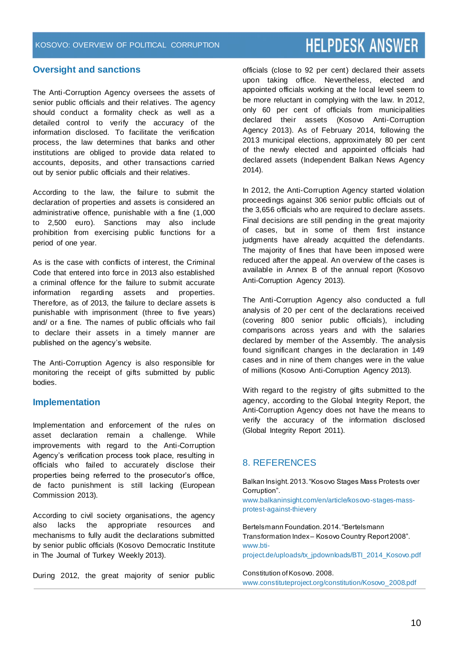#### **Oversight and sanctions**

The Anti-Corruption Agency oversees the assets of senior public officials and their relatives. The agency should conduct a formality check as well as a detailed control to verify the accuracy of the information disclosed. To facilitate the verification process, the law determines that banks and other institutions are obliged to provide data related to accounts, deposits, and other transactions carried out by senior public officials and their relatives.

According to the law, the failure to submit the declaration of properties and assets is considered an administrative offence, punishable with a fine (1,000 to 2,500 euro). Sanctions may also include prohibition from exercising public functions for a period of one year.

As is the case with conflicts of interest, the Criminal Code that entered into force in 2013 also established a criminal offence for the failure to submit accurate information regarding assets and properties. Therefore, as of 2013, the failure to declare assets is punishable with imprisonment (three to five years) and/ or a fine. The names of public officials who fail to declare their assets in a timely manner are published on the agency's website.

The Anti-Corruption Agency is also responsible for monitoring the receipt of gifts submitted by public bodies.

#### **Implementation**

Implementation and enforcement of the rules on asset declaration remain a challenge. While improvements with regard to the Anti-Corruption Agency's verification process took place, resulting in officials who failed to accurately disclose their properties being referred to the prosecutor's office, de facto punishment is still lacking (European Commission 2013).

According to civil society organisations, the agency also lacks the appropriate resources and mechanisms to fully audit the declarations submitted by senior public officials (Kosovo Democratic Institute in The Journal of Turkey Weekly 2013).

During 2012, the great majority of senior public

officials (close to 92 per cent) declared their assets upon taking office. Nevertheless, elected and appointed officials working at the local level seem to be more reluctant in complying with the law. In 2012, only 60 per cent of officials from municipalities declared their assets (Kosovo Anti-Corruption Agency 2013). As of February 2014, following the 2013 municipal elections, approximately 80 per cent of the newly elected and appointed officials had declared assets (Independent Balkan News Agency 2014).

In 2012, the Anti-Corruption Agency started violation proceedings against 306 senior public officials out of the 3,656 officials who are required to declare assets. Final decisions are still pending in the great majority of cases, but in some of them first instance judgments have already acquitted the defendants. The majority of fines that have been imposed were reduced after the appeal. An overview of the cases is available in Annex B of the annual report (Kosovo Anti-Corruption Agency 2013).

The Anti-Corruption Agency also conducted a full analysis of 20 per cent of the declarations received (covering 800 senior public officials), including comparisons across years and with the salaries declared by member of the Assembly. The analysis found significant changes in the declaration in 149 cases and in nine of them changes were in the value of millions (Kosovo Anti-Corruption Agency 2013).

With regard to the registry of gifts submitted to the agency, according to the Global Integrity Report, the Anti-Corruption Agency does not have the means to verify the accuracy of the information disclosed (Global Integrity Report 2011).

#### 8. REFERENCES

Balkan Insight. 2013. "Kosovo Stages Mass Protests over Corruption".

www.balkaninsight.com/en/article/kosovo-stages-massprotest-against-thievery

Bertelsmann Foundation. 2014. "Bertelsmann Transformation Index – Kosovo Country Report 2008". www.bti-

project.de/uploads/tx\_jpdownloads/BTI\_2014\_Kosovo.pdf

Constitution of Kosovo. 2008. www.constituteproject.org/constitution/Kosovo\_2008.pdf